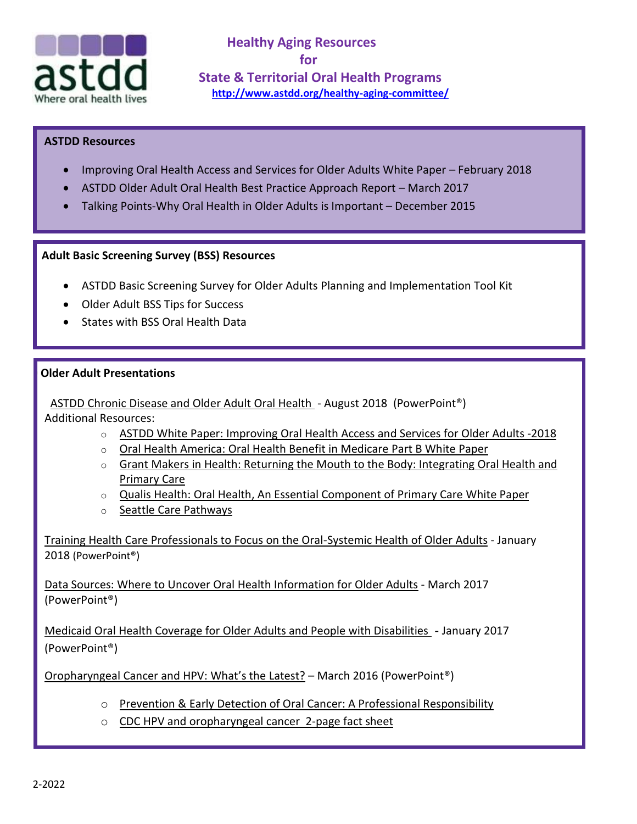

**Healthy Aging Resources for State & Territorial Oral Health Programs <http://www.astdd.org/healthy-aging-committee/>**

## **ASTDD Resources**

- [Improving Oral Health Access and Services for Older Adults White Paper](https://www.astdd.org/docs/improving-oral-health-access-and-services-for-older-adults.pdf) February 2018
- [ASTDD Older Adult Oral Health Best Practice Approach Report](http://www.astdd.org/bestpractices/bpar-oral-health-in-the-older-adult-population-age-65-and-older.pdf) March 2017
- [Talking Points-Why Oral Health in Older Adults is Important](http://www.astdd.org/docs/why-oral-health-in-older-adults-is-important-talking-points-12-2015.pdf) December 2015

## **Older Adult Basic Screening Survey (BSS) Resources**

- [ASTDD Basic Screening Survey for Older Adults](http://www.astdd.org/basic-screening-survey-tool/#adults) Planning and Implementation Tool Kit
- [Older Adult BSS Tips for Success](http://www.astdd.org/docs/older-adult-bss-tips-approved-dec-2016.pptx)
- [States with BSS Oral Health Data](http://www.astdd.org/www/docs/states-with-bss-oral-health-data.docx)

## **ADD** Older Adult Presentations

• [ASTDD Chronic Disease and Older Adult Oral Health](https://www.astdd.org/docs/chronic-disease-and-older-adult-oral-health-combined-aug-2018.pdf) - August 2018 (PowerPoint®) • Additional Resources:

- o ASTDD White Paper: [Improving](https://www.astdd.org/docs/improving-oral-health-access-and-services-for-older-adults.pdf) Oral Health Access and Services for Older Adults -2018
- o Oral Health America: Oral Health Benefit in [Medicare](https://www.astdd.org/docs/oh-benefit-in-mediare-white-paper.pdf) Part B White Paper
- $\circ$  Grant Makers in Health: Returning the Mouth to the Body: [Integrating](https://www.astdd.org/docs/returning-the-mouth-to-the-body-no40-september-2012.pdf) Oral Health and [Primary](https://www.astdd.org/docs/returning-the-mouth-to-the-body-no40-september-2012.pdf) Care
- o Qualis Health: Oral Health, An Essential [Component](https://www.astdd.org/docs/qualis-health-oral-health-primary-care-white-paper.pdf) of Primary Care White Paper
- o Seattle Care [Pathways](https://www.astdd.org/docs/seattle-care-pathways.pdf)

[Training Health Care Professionals to Focus on the Oral-Systemic Health](http://www.astdd.org/docs/training-future-health-care-professionals.pdf) of Older Adults - January 2018 (PowerPoint®)

[Data Sources: Where to Uncover Oral Health Information for Older Adults](https://www.astdd.org/docs/older-adult-oh-info-data-mining-march-2017.pptx) - March 2017 (PowerPoint®)

[Medicaid Oral Health Coverage for Older Adults and People with Disabilities](http://www.astdd.org/docs/nasuad-webinar-01-17-2017.pptx) **-** January 2017 (PowerPoint®)

[Oropharyngeal Cancer and HPV: What](http://www.astdd.org/docs/heatlhy-aging-committe-coffee-break-ppt-presentation-3-24-2016.pptx)'s the Latest? – March 2016 (PowerPoint®)

- o [Prevention & Early Detection of Oral Cancer: A Professional Responsibility](http://aidsetc.org/blog/prevention-early-detection-oral-cancer-professional-responsibility)
- o [CDC HPV and oropharyngeal cancer 2-page fact sheet](http://www.cdc.gov/std/hpv/hpv-oral-factsheet-press-nov-2013.pdf)